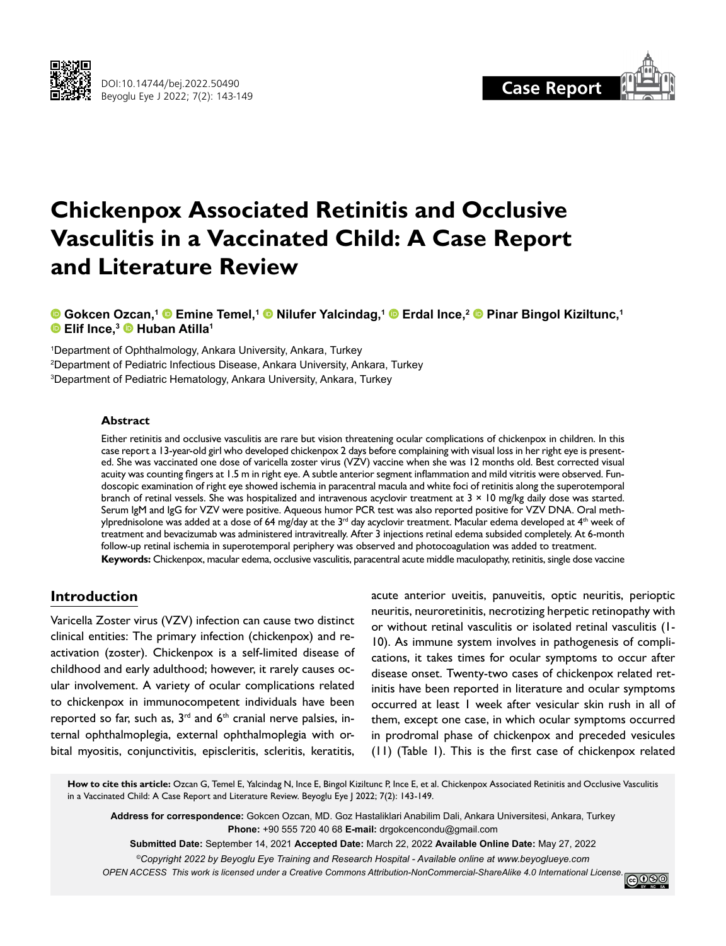



# **Chickenpox Associated Retinitis and Occlusive Vasculitis in a Vaccinated Child: A Case Report and Literature Review**

**Gokcen Ozcan,1Emine Temel,1Nilufer Yalcindag,1Erdal Ince,2Pinar Bingol Kiziltunc,1 Elif Ince,3Huban Atilla1**

1 Department of Ophthalmology, Ankara University, Ankara, Turkey 2 Department of Pediatric Infectious Disease, Ankara University, Ankara, Turkey 3 Department of Pediatric Hematology, Ankara University, Ankara, Turkey

### **Abstract**

Either retinitis and occlusive vasculitis are rare but vision threatening ocular complications of chickenpox in children. In this case report a 13-year-old girl who developed chickenpox 2 days before complaining with visual loss in her right eye is presented. She was vaccinated one dose of varicella zoster virus (VZV) vaccine when she was 12 months old. Best corrected visual acuity was counting fingers at 1.5 m in right eye. A subtle anterior segment inflammation and mild vitritis were observed. Fundoscopic examination of right eye showed ischemia in paracentral macula and white foci of retinitis along the superotemporal branch of retinal vessels. She was hospitalized and intravenous acyclovir treatment at  $3 \times 10$  mg/kg daily dose was started. Serum IgM and IgG for VZV were positive. Aqueous humor PCR test was also reported positive for VZV DNA. Oral methylprednisolone was added at a dose of 64 mg/day at the  $3^{\text{rd}}$  day acyclovir treatment. Macular edema developed at  $4^{\text{th}}$  week of treatment and bevacizumab was administered intravitreally. After 3 injections retinal edema subsided completely. At 6-month follow-up retinal ischemia in superotemporal periphery was observed and photocoagulation was added to treatment. **Keywords:** Chickenpox, macular edema, occlusive vasculitis, paracentral acute middle maculopathy, retinitis, single dose vaccine

# **Introduction**

Varicella Zoster virus (VZV) infection can cause two distinct clinical entities: The primary infection (chickenpox) and reactivation (zoster). Chickenpox is a self-limited disease of childhood and early adulthood; however, it rarely causes ocular involvement. A variety of ocular complications related to chickenpox in immunocompetent individuals have been reported so far, such as,  $3<sup>rd</sup>$  and  $6<sup>th</sup>$  cranial nerve palsies, internal ophthalmoplegia, external ophthalmoplegia with orbital myositis, conjunctivitis, episcleritis, scleritis, keratitis,

acute anterior uveitis, panuveitis, optic neuritis, perioptic neuritis, neuroretinitis, necrotizing herpetic retinopathy with or without retinal vasculitis or isolated retinal vasculitis (1- 10). As immune system involves in pathogenesis of complications, it takes times for ocular symptoms to occur after disease onset. Twenty-two cases of chickenpox related retinitis have been reported in literature and ocular symptoms occurred at least 1 week after vesicular skin rush in all of them, except one case, in which ocular symptoms occurred in prodromal phase of chickenpox and preceded vesicules (11) (Table 1). This is the first case of chickenpox related

How to cite this article: Ozcan G, Temel E, Yalcindag N, Ince E, Bingol Kiziltunc P, Ince E, et al. Chickenpox Associated Retinitis and Occlusive Vasculitis in a Vaccinated Child: A Case Report and Literature Review. Beyoglu Eye J 2022; 7(2): 143-149.

**Address for correspondence:** Gokcen Ozcan, MD. Goz Hastaliklari Anabilim Dali, Ankara Universitesi, Ankara, Turkey **Phone:** +90 555 720 40 68 **E-mail:** drgokcencondu@gmail.com

**Submitted Date:** September 14, 2021 **Accepted Date:** March 22, 2022 **Available Online Date:** May 27, 2022 *©Copyright 2022 by Beyoglu Eye Training and Research Hospital - Available online at www.beyoglueye.com OPEN ACCESS This work is licensed under a Creative Commons Attribution-NonCommercial-ShareAlike 4.0 International License.*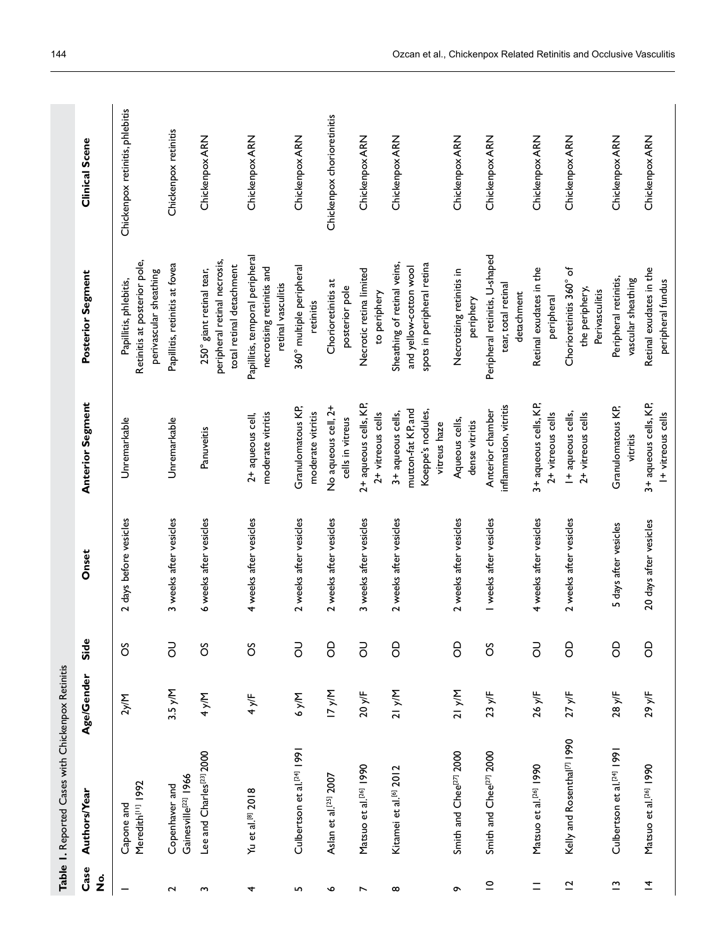|                               | Table 1. Reported Cases with Chickenpox Retinitis  |              |                |                        |                                                                              |                                                                                      |                                 |
|-------------------------------|----------------------------------------------------|--------------|----------------|------------------------|------------------------------------------------------------------------------|--------------------------------------------------------------------------------------|---------------------------------|
| Case<br>$\dot{\mathbf{z}}$    | Authors/Year                                       | Age/Gender   | Side           | Onset                  | <b>Anterior Segment</b>                                                      | <b>Posterior Segment</b>                                                             | <b>Clinical Scene</b>           |
|                               | Meredith <sup>[1]</sup> 1992<br>Capone and         | 2y/M         | ő              | 2 days before vesicles | Unremarkable                                                                 | Retinitis at posterior pole,<br>perivascular sheathing<br>Papillitis, phlebitis,     | Chickenpox retinitis, phlebitis |
| $\sim$                        | Gainesville <sup>[22]</sup> 1966<br>Copenhaver and | $3.5$ y/M    | <b>PO</b>      | 3 weeks after vesicles | Unremarkable                                                                 | Papillitis, retinitis at fovea                                                       | Chickenpox retinitis            |
| S                             | Lee and Charles <sup>[23]</sup> 2000               | 4 y/M        | ő              | 6 weeks after vesicles | Panuveitis                                                                   | peripheral retinal necrosis,<br>total retinal detachment<br>250° giant retinal tear, | Chickenpox ARN                  |
| 4                             | Yu et al.[8] 2018                                  | 4y/F         | ő              | 4 weeks after vesicles | moderate vitritis<br>2+ aqueous cell,                                        | Papillitis, temporal peripheral<br>necrotising retinitis and<br>retinal vasculitis   | Chickenpox ARN                  |
| LN,                           | Culbertson et al. <sup>[24]</sup> 1991             | <b>A/A 9</b> | <b>PO</b>      | 2 weeks after vesicles | Granulomatous KP,<br>moderate vitritis                                       | 360° multiple peripheral<br>retinitis                                                | Chickenpox ARN                  |
| $\bullet$                     | Aslan et al. <sup>[25]</sup> 2007                  | 17 y/N       | 8              | 2 weeks after vesicles | No aqueous cell, 2+<br>cells in vitreus                                      | Chorioretinitis at<br>posterior pole                                                 | Chickenpox chorioretinitis      |
| $\overline{ }$                | Matsuo et al.[26] 1990                             | 20y/F        | $\overline{5}$ | 3 weeks after vesicles | 2+ aqueous cells, KP,<br>$2+$ vitreous cells                                 | Necrotic retina limited<br>to periphery                                              | Chickenpox ARN                  |
| $\infty$                      | Kitamei et al. <sup>[6]</sup> 2012                 | 21 y/N       | 8              | 2 weeks after vesicles | mutton-fat KP, and<br>Koeppe's nodules,<br>3+ aqueous cells,<br>vitreus haze | Sheathing of retinal veins,<br>spots in peripheral retina<br>and yellow-cotton wool  | Chickenpox ARN                  |
| ᡡ                             | Smith and Chee <sup>[27]</sup> 2000                | 21 y/N       | <b>S</b>       | 2 weeks after vesicles | Aqueous cells,<br>dense vitritis                                             | Necrotizing retinitis in<br>periphery                                                | Chickenpox ARN                  |
| $\subseteq$                   | Smith and Chee <sup>[27]</sup> 2000                | 23y/F        | ő              | I weeks after vesicles | inflammation, vitritis<br>Anterior chamber                                   | Peripheral retinitis, U-shaped<br>tear, total retinal<br>detachment                  | Chickenpox ARN                  |
| $\equiv$                      | Matsuo et al. <sup>[26]</sup> 1990                 | 26 y/F       | <b>PO</b>      | 4 weeks after vesicles | 3+ aqueous cells, KP,<br>$2+$ vitreous cells                                 | Retinal exudates in the<br>peripheral                                                | Chickenpox ARN                  |
| $\overline{a}$                | Kelly and Rosenthal <sup>[7]</sup> 1990            | 27y/F        | 8              | 2 weeks after vesicles | I+aqueous cells,<br>$2+$ vitreous cells                                      | Chorioretinitis 360° of<br>the periphery,<br>Perivasculitis                          | Chickenpox ARN                  |
| $\mathbf{\underline{\Gamma}}$ | Culbertson et al. <sup>[24]</sup> 1991             | 28 y/F       | 8              | 5 days after vesicles  | Granulomatous KP,<br>vitritis                                                | Peripheral retinitis,<br>vascular sheathing                                          | Chickenpox ARN                  |
| $\overline{4}$                | Matsuo et al. <sup>[24]</sup> 1990                 | 29y/F        | 8              | 20 days after vesicles | 3+ aqueous cells, KP,<br>I+ vitreous cells                                   | Retinal exudates in the<br>peripheral fundus                                         | Chickenpox ARN                  |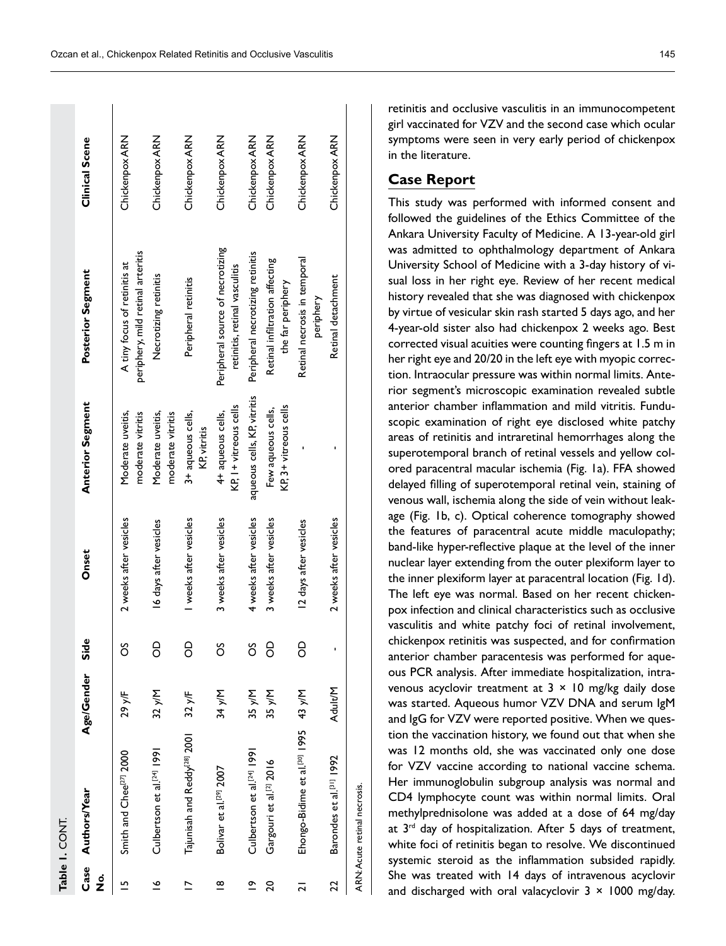|             | Table 1. CONT.                                  |                 |      |                        |                                             |                                                                   |                |
|-------------|-------------------------------------------------|-----------------|------|------------------------|---------------------------------------------|-------------------------------------------------------------------|----------------|
| 。<br>2      | Case Authors/Year                               | Age/Gender      | Side | Onset                  | <b>Anterior Segment</b>                     | Posterior Segment                                                 | Clinical Scene |
| L           | Smith and Chee <sup>[27]</sup> 2000             | 29 y/F          | ő    | 2 weeks after vesicles | Moderate uveitis,<br>moderate vitritis      | periphery, mild retinal arteritis<br>A tiny focus of retinitis at | Chickenpox ARN |
| ڡ           | Culbertson et al. <sup>[24]</sup> 1991          | 32 y/M          | 8    | 16 days after vesicles | Moderate uveitis,<br>moderate vitritis      | Necrotizing retinitis                                             | Chickenpox ARN |
|             | Tajunisah and Reddy <sup>[28]</sup> 2001        | $32 \text{ yr}$ | 8    | I weeks after vesicles | 3+ aqueous cells,<br>KP, vitritis           | Peripheral retinitis                                              | Chickenpox ARN |
| ≌           | Bolivar et al. <sup>[29]</sup> 2007             | 34 y/M          | ő    | 3 weeks after vesicles | KP, I+ vitreous cells<br>4+ aqueous cells,  | Peripheral source of necrotizing<br>retinitis, retinal vasculitis | Chickenpox ARN |
| $\tilde{c}$ | Culbertson et al. <sup>[24]</sup> 1991          | 35 y/M          | ő    | 4 weeks after vesicles | aqueous cells, KP, vitritis                 | Peripheral necrotizing retinitis                                  | Chickenpox ARN |
| 20          | Gargouri et al. <sup>[2]</sup> 2016             | 35 y/M          | 8    | 3 weeks after vesicles | KP, 3+ vitreous cells<br>Few aqueous cells, | Retinal infiltration affecting<br>the far periphery               | Chickenpox ARN |
| ಸ           | Ehongo-Bidime et al. <sup>poj</sup> 1995 43 y/M |                 | 8    | 12 days after vesicles |                                             | Retinal necrosis in temporal<br>periphery                         | Chickenpox ARN |
| 22          | Barondes et al. <sup>[31]</sup> 1992            | Adult/M         |      | 2 weeks after vesicles |                                             | Retinal detachment                                                | Chickenpox ARN |
|             | ARN: Acute retinal necrosis.                    |                 |      |                        |                                             |                                                                   |                |

retinitis and occlusive vasculitis in an immunocompetent girl vaccinated for VZV and the second case which ocular symptoms were seen in very early period of chickenpox in the literature.

# **Case Report**

This study was performed with informed consent and followed the guidelines of the Ethics Committee of the Ankara University Faculty of Medicine. A 13-year-old girl was admitted to ophthalmology department of Ankara University School of Medicine with a 3-day history of vi sual loss in her right eye. Review of her recent medical history revealed that she was diagnosed with chickenpox by virtue of vesicular skin rash started 5 days ago, and her 4-year-old sister also had chickenpox 2 weeks ago. Best corrected visual acuities were counting fingers at 1.5 m in her right eye and 20/20 in the left eye with myopic correc tion. Intraocular pressure was within normal limits. Ante rior segment's microscopic examination revealed subtle anterior chamber inflammation and mild vitritis. Fundu scopic examination of right eye disclosed white patchy areas of retinitis and intraretinal hemorrhages along the superotemporal branch of retinal vessels and yellow col ored paracentral macular ischemia (Fig. 1a). FFA showed delayed filling of superotemporal retinal vein, staining of venous wall, ischemia along the side of vein without leak age (Fig. 1b, c). Optical coherence tomography showed the features of paracentral acute middle maculopathy; band-like hyper-reflective plaque at the level of the inner nuclear layer extending from the outer plexiform layer to the inner plexiform layer at paracentral location (Fig. 1d). The left eye was normal. Based on her recent chicken pox infection and clinical characteristics such as occlusive vasculitis and white patchy foci of retinal involvement, chickenpox retinitis was suspected, and for confirmation anterior chamber paracentesis was performed for aque ous PCR analysis. After immediate hospitalization, intra venous acyclovir treatment at  $3 \times 10$  mg/kg daily dose was started. Aqueous humor VZV DNA and serum IgM and IgG for VZV were reported positive. When we ques tion the vaccination history, we found out that when she was 12 months old, she was vaccinated only one dose for VZV vaccine according to national vaccine schema. Her immunoglobulin subgroup analysis was normal and CD4 lymphocyte count was within normal limits. Oral methylprednisolone was added at a dose of 64 mg/day at 3<sup>rd</sup> day of hospitalization. After 5 days of treatment, white foci of retinitis began to resolve. We discontinued systemic steroid as the inflammation subsided rapidly. She was treated with 14 days of intravenous acyclovir and discharged with oral valacyclovir  $3 \times 1000$  mg/day.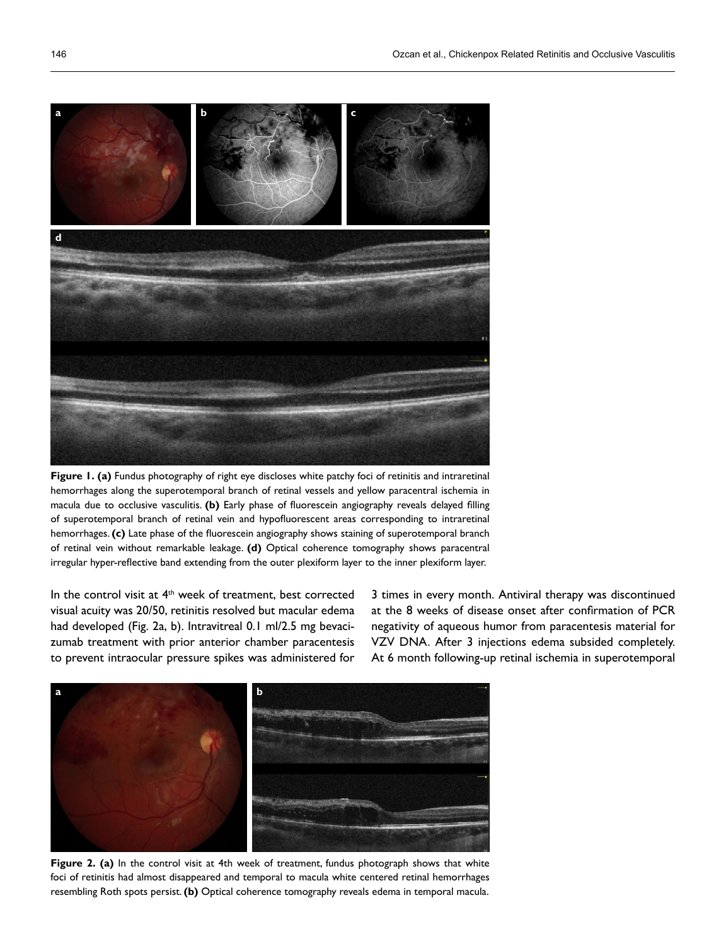

**Figure 1. (a)** Fundus photography of right eye discloses white patchy foci of retinitis and intraretinal hemorrhages along the superotemporal branch of retinal vessels and yellow paracentral ischemia in macula due to occlusive vasculitis. **(b)** Early phase of fluorescein angiography reveals delayed filling of superotemporal branch of retinal vein and hypofluorescent areas corresponding to intraretinal hemorrhages. **(c)** Late phase of the fluorescein angiography shows staining of superotemporal branch of retinal vein without remarkable leakage. **(d)** Optical coherence tomography shows paracentral irregular hyper-reflective band extending from the outer plexiform layer to the inner plexiform layer.

In the control visit at 4<sup>th</sup> week of treatment, best corrected visual acuity was 20/50, retinitis resolved but macular edema had developed (Fig. 2a, b). Intravitreal 0.1 ml/2.5 mg bevacizumab treatment with prior anterior chamber paracentesis to prevent intraocular pressure spikes was administered for

3 times in every month. Antiviral therapy was discontinued at the 8 weeks of disease onset after confirmation of PCR negativity of aqueous humor from paracentesis material for VZV DNA. After 3 injections edema subsided completely. At 6 month following-up retinal ischemia in superotemporal



**Figure 2. (a)** In the control visit at 4th week of treatment, fundus photograph shows that white foci of retinitis had almost disappeared and temporal to macula white centered retinal hemorrhages resembling Roth spots persist. **(b)** Optical coherence tomography reveals edema in temporal macula.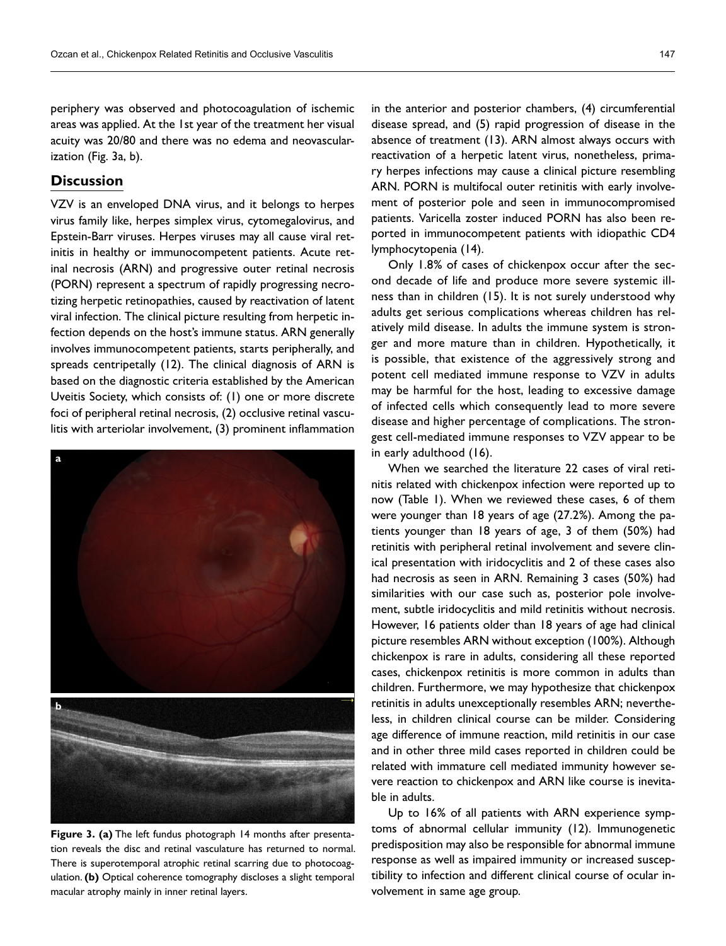periphery was observed and photocoagulation of ischemic areas was applied. At the 1st year of the treatment her visual acuity was 20/80 and there was no edema and neovascularization (Fig. 3a, b).

# **Discussion**

VZV is an enveloped DNA virus, and it belongs to herpes virus family like, herpes simplex virus, cytomegalovirus, and Epstein-Barr viruses. Herpes viruses may all cause viral retinitis in healthy or immunocompetent patients. Acute retinal necrosis (ARN) and progressive outer retinal necrosis (PORN) represent a spectrum of rapidly progressing necrotizing herpetic retinopathies, caused by reactivation of latent viral infection. The clinical picture resulting from herpetic infection depends on the host's immune status. ARN generally involves immunocompetent patients, starts peripherally, and spreads centripetally (12). The clinical diagnosis of ARN is based on the diagnostic criteria established by the American Uveitis Society, which consists of: (1) one or more discrete foci of peripheral retinal necrosis, (2) occlusive retinal vasculitis with arteriolar involvement, (3) prominent inflammation



**Figure 3. (a)** The left fundus photograph 14 months after presentation reveals the disc and retinal vasculature has returned to normal. There is superotemporal atrophic retinal scarring due to photocoagulation. **(b)** Optical coherence tomography discloses a slight temporal macular atrophy mainly in inner retinal layers.

in the anterior and posterior chambers, (4) circumferential disease spread, and (5) rapid progression of disease in the absence of treatment (13). ARN almost always occurs with reactivation of a herpetic latent virus, nonetheless, primary herpes infections may cause a clinical picture resembling ARN. PORN is multifocal outer retinitis with early involvement of posterior pole and seen in immunocompromised patients. Varicella zoster induced PORN has also been reported in immunocompetent patients with idiopathic CD4 lymphocytopenia (14).

Only 1.8% of cases of chickenpox occur after the second decade of life and produce more severe systemic illness than in children (15). It is not surely understood why adults get serious complications whereas children has relatively mild disease. In adults the immune system is stronger and more mature than in children. Hypothetically, it is possible, that existence of the aggressively strong and potent cell mediated immune response to VZV in adults may be harmful for the host, leading to excessive damage of infected cells which consequently lead to more severe disease and higher percentage of complications. The strongest cell-mediated immune responses to VZV appear to be in early adulthood (16).

When we searched the literature 22 cases of viral retinitis related with chickenpox infection were reported up to now (Table 1). When we reviewed these cases, 6 of them were younger than 18 years of age (27.2%). Among the patients younger than 18 years of age, 3 of them (50%) had retinitis with peripheral retinal involvement and severe clinical presentation with iridocyclitis and 2 of these cases also had necrosis as seen in ARN. Remaining 3 cases (50%) had similarities with our case such as, posterior pole involvement, subtle iridocyclitis and mild retinitis without necrosis. However, 16 patients older than 18 years of age had clinical picture resembles ARN without exception (100%). Although chickenpox is rare in adults, considering all these reported cases, chickenpox retinitis is more common in adults than children. Furthermore, we may hypothesize that chickenpox retinitis in adults unexceptionally resembles ARN; nevertheless, in children clinical course can be milder. Considering age difference of immune reaction, mild retinitis in our case and in other three mild cases reported in children could be related with immature cell mediated immunity however severe reaction to chickenpox and ARN like course is inevitable in adults.

Up to 16% of all patients with ARN experience symptoms of abnormal cellular immunity (12). Immunogenetic predisposition may also be responsible for abnormal immune response as well as impaired immunity or increased susceptibility to infection and different clinical course of ocular involvement in same age group.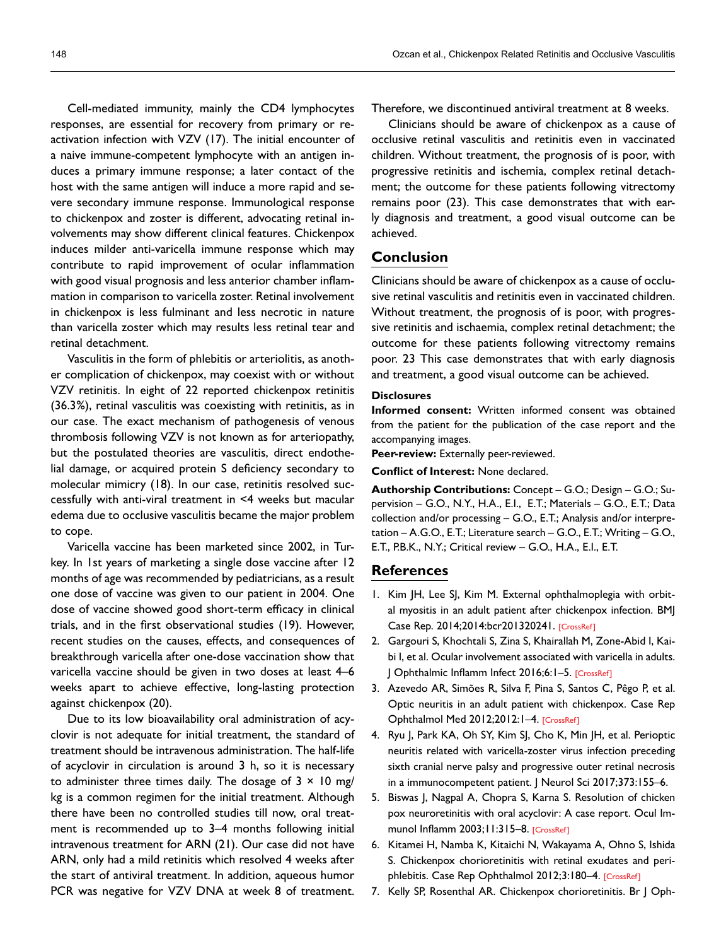Cell-mediated immunity, mainly the CD4 lymphocytes responses, are essential for recovery from primary or reactivation infection with VZV (17). The initial encounter of a naive immune-competent lymphocyte with an antigen induces a primary immune response; a later contact of the host with the same antigen will induce a more rapid and severe secondary immune response. Immunological response to chickenpox and zoster is different, advocating retinal involvements may show different clinical features. Chickenpox induces milder anti-varicella immune response which may contribute to rapid improvement of ocular inflammation with good visual prognosis and less anterior chamber inflammation in comparison to varicella zoster. Retinal involvement in chickenpox is less fulminant and less necrotic in nature than varicella zoster which may results less retinal tear and retinal detachment.

Vasculitis in the form of phlebitis or arteriolitis, as another complication of chickenpox, may coexist with or without VZV retinitis. In eight of 22 reported chickenpox retinitis (36.3%), retinal vasculitis was coexisting with retinitis, as in our case. The exact mechanism of pathogenesis of venous thrombosis following VZV is not known as for arteriopathy, but the postulated theories are vasculitis, direct endothelial damage, or acquired protein S deficiency secondary to molecular mimicry (18). In our case, retinitis resolved successfully with anti-viral treatment in <4 weeks but macular edema due to occlusive vasculitis became the major problem to cope.

Varicella vaccine has been marketed since 2002, in Turkey. In 1st years of marketing a single dose vaccine after 12 months of age was recommended by pediatricians, as a result one dose of vaccine was given to our patient in 2004. One dose of vaccine showed good short-term efficacy in clinical trials, and in the first observational studies (19). However, recent studies on the causes, effects, and consequences of breakthrough varicella after one-dose vaccination show that varicella vaccine should be given in two doses at least 4–6 weeks apart to achieve effective, long-lasting protection against chickenpox (20).

Due to its low bioavailability oral administration of acyclovir is not adequate for initial treatment, the standard of treatment should be intravenous administration. The half-life of acyclovir in circulation is around 3 h, so it is necessary to administer three times daily. The dosage of  $3 \times 10$  mg/ kg is a common regimen for the initial treatment. Although there have been no controlled studies till now, oral treatment is recommended up to 3–4 months following initial intravenous treatment for ARN (21). Our case did not have ARN, only had a mild retinitis which resolved 4 weeks after the start of antiviral treatment. In addition, aqueous humor PCR was negative for VZV DNA at week 8 of treatment.

Therefore, we discontinued antiviral treatment at 8 weeks.

Clinicians should be aware of chickenpox as a cause of occlusive retinal vasculitis and retinitis even in vaccinated children. Without treatment, the prognosis of is poor, with progressive retinitis and ischemia, complex retinal detachment; the outcome for these patients following vitrectomy remains poor (23). This case demonstrates that with early diagnosis and treatment, a good visual outcome can be achieved.

## **Conclusion**

Clinicians should be aware of chickenpox as a cause of occlusive retinal vasculitis and retinitis even in vaccinated children. Without treatment, the prognosis of is poor, with progressive retinitis and ischaemia, complex retinal detachment; the outcome for these patients following vitrectomy remains poor. 23 This case demonstrates that with early diagnosis and treatment, a good visual outcome can be achieved.

#### **Disclosures**

**Informed consent:** Written informed consent was obtained from the patient for the publication of the case report and the accompanying images.

**Peer-review:** Externally peer-reviewed.

#### **Conflict of Interest:** None declared.

**Authorship Contributions:** Concept – G.O.; Design – G.O.; Supervision – G.O., N.Y., H.A., E.I., E.T.; Materials – G.O., E.T.; Data collection and/or processing – G.O., E.T.; Analysis and/or interpretation – A.G.O., E.T.; Literature search – G.O., E.T.; Writing – G.O., E.T., P.B.K., N.Y.; Critical review – G.O., H.A., E.I., E.T.

## **References**

- 1. Kim JH, Lee SJ, Kim M. External ophthalmoplegia with orbital myositis in an adult patient after chickenpox infection. BMJ Case Rep. 2014;2014:bcr201320241. [\[CrossRef\]](https://doi.org/10.1136/bcr-2013-202415)
- 2. Gargouri S, Khochtali S, Zina S, Khairallah M, Zone-Abid I, Kaibi I, et al. Ocular involvement associated with varicella in adults. J Ophthalmic Inflamm Infect 2016;6:1–[5. \[CrossRef\]](https://doi.org/10.1186/s12348-016-0117-9)
- 3. Azevedo AR, Simões R, Silva F, Pina S, Santos C, Pêgo P, et al. Optic neuritis in an adult patient with chickenpox. Case Rep Ophthalmol Med 2012;2012:1–4. [\[CrossRef\]](https://doi.org/10.1155/2012/371584)
- 4. Ryu J, Park KA, Oh SY, Kim SJ, Cho K, Min JH, et al. Perioptic neuritis related with varicella-zoster virus infection preceding sixth cranial nerve palsy and progressive outer retinal necrosis in a immunocompetent patient. J Neurol S[ci 2017;373:155–6.](https://doi.org/10.1016/j.jns.2016.12.041)
- 5. Biswas J, Nagpal A, Chopra S, Karna S. Resolution of chicken pox neuroretinitis with oral acyclovir: A case report. Ocul Im-munol Inflamm 2003;11:315-[8. \[CrossRef\]](https://doi.org/10.1076/ocii.11.4.315.18267)
- 6. Kitamei H, Namba K, Kitaichi N, Wakayama A, Ohno S, Ishida S. Chickenpox chorioretinitis with retinal exudates and periphlebitis. Case Rep Ophthalmol 2012;3:180–[4. \[CrossRef\]](https://doi.org/10.1159/000339128)
- 7. Kelly SP, Rosenthal AR. Chickenpox chorioretinitis. Br J Oph-